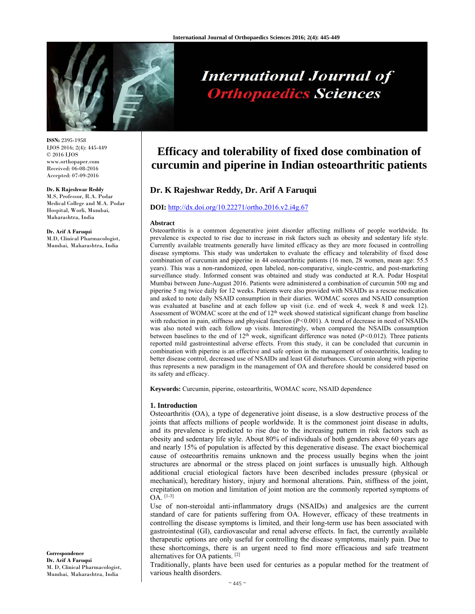

# **International Journal of Orthopaedics Sciences**

**ISSN:** 2395-1958 IJOS 2016; 2(4): 445-449 © 2016 IJOS www.orthopaper.com Received: 06-08-2016 Accepted: 07-09-2016

#### **Dr. K Rajeshwar Reddy**

M.S, Professor, R.A. Podar Medical College and M.A. Podar Hospital, Worli, Mumbai, Maharashtra, India

**Dr. Arif A Faruqui**  M.D, Clinical Pharmacologist, Mumbai, Maharashtra, India

**Efficacy and tolerability of fixed dose combination of curcumin and piperine in Indian osteoarthritic patients** 

## **Dr. K Rajeshwar Reddy, Dr. Arif A Faruqui**

## **DOI:** http://dx.doi.org/10.22271/ortho.2016.v2.i4g.67

#### **Abstract**

Osteoarthritis is a common degenerative joint disorder affecting millions of people worldwide. Its prevalence is expected to rise due to increase in risk factors such as obesity and sedentary life style. Currently available treatments generally have limited efficacy as they are more focused in controlling disease symptoms. This study was undertaken to evaluate the efficacy and tolerability of fixed dose combination of curcumin and piperine in 44 osteoarthritic patients (16 men, 28 women, mean age: 55.5 years). This was a non-randomized, open labeled, non-comparative, single-centric, and post-marketing surveillance study. Informed consent was obtained and study was conducted at R.A. Podar Hospital Mumbai between June-August 2016. Patients were administered a combination of curcumin 500 mg and piperine 5 mg twice daily for 12 weeks. Patients were also provided with NSAIDs as a rescue medication and asked to note daily NSAID consumption in their diaries. WOMAC scores and NSAID consumption was evaluated at baseline and at each follow up visit (i.e. end of week 4, week 8 and week 12). Assessment of WOMAC score at the end of 12<sup>th</sup> week showed statistical significant change from baseline with reduction in pain, stiffness and physical function ( $P < 0.001$ ). A trend of decrease in need of NSAIDs was also noted with each follow up visits. Interestingly, when compared the NSAIDs consumption between baselines to the end of 12<sup>th</sup> week, significant difference was noted (*P*<0.012). Three patients reported mild gastrointestinal adverse effects. From this study, it can be concluded that curcumin in combination with piperine is an effective and safe option in the management of osteoarthritis, leading to better disease control, decreased use of NSAIDs and least GI disturbances. Curcumin along with piperine thus represents a new paradigm in the management of OA and therefore should be considered based on its safety and efficacy.

**Keywords:** Curcumin, piperine, osteoarthritis, WOMAC score, NSAID dependence

## **1. Introduction**

Osteoarthritis (OA), a type of degenerative joint disease, is a slow destructive process of the joints that affects millions of people worldwide. It is the commonest joint disease in adults, and its prevalence is predicted to rise due to the increasing pattern in risk factors such as obesity and sedentary life style. About 80% of individuals of both genders above 60 years age and nearly 15% of population is affected by this degenerative disease. The exact biochemical cause of osteoarthritis remains unknown and the process usually begins when the joint structures are abnormal or the stress placed on joint surfaces is unusually high. Although additional crucial etiological factors have been described includes pressure (physical or mechanical), hereditary history, injury and hormonal alterations. Pain, stiffness of the joint, crepitation on motion and limitation of joint motion are the commonly reported symptoms of OA. [1-3]

Use of non-steroidal anti-inflammatory drugs (NSAIDs) and analgesics are the current standard of care for patients suffering from OA. However, efficacy of these treatments in controlling the disease symptoms is limited, and their long-term use has been associated with gastrointestinal (GI), cardiovascular and renal adverse effects. In fact, the currently available therapeutic options are only useful for controlling the disease symptoms, mainly pain. Due to these shortcomings, there is an urgent need to find more efficacious and safe treatment alternatives for OA patients. [2]

Traditionally, plants have been used for centuries as a popular method for the treatment of various health disorders.

**Correspondence Dr. Arif A Faruqui**  M. D, Clinical Pharmacologist, Mumbai, Maharashtra, India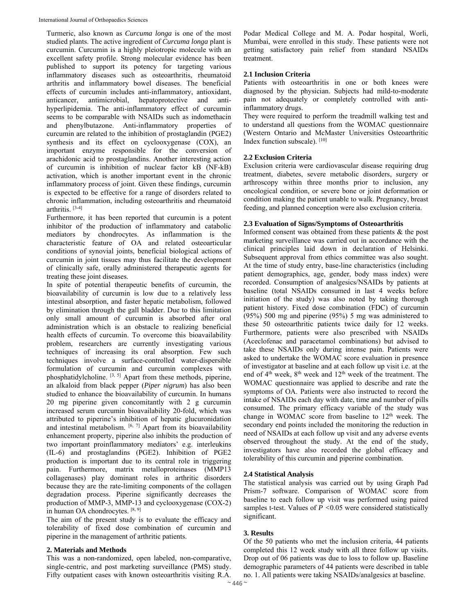Turmeric, also known as *Curcuma longa* is one of the most studied plants. The active ingredient of *Curcuma longa* plant is curcumin. Curcumin is a highly pleiotropic molecule with an excellent safety profile. Strong molecular evidence has been published to support its potency for targeting various inflammatory diseases such as osteoarthritis, rheumatoid arthritis and inflammatory bowel diseases. The beneficial effects of curcumin includes anti-inflammatory, antioxidant, anticancer, antimicrobial, hepatoprotective and antihyperlipidemia. The anti-inflammatory effect of curcumin seems to be comparable with NSAIDs such as indomethacin and phenylbutazone. Anti-inflammatory properties of curcumin are related to the inhibition of prostaglandin (PGE2) synthesis and its effect on cyclooxygenase (COX), an important enzyme responsible for the conversion of arachidonic acid to prostaglandins. Another interesting action of curcumin is inhibition of nuclear factor kB (NF-kB) activation, which is another important event in the chronic inflammatory process of joint. Given these findings, curcumin is expected to be effective for a range of disorders related to chronic inflammation, including osteoarthritis and rheumatoid arthritis. [3-4]

Furthermore, it has been reported that curcumin is a potent inhibitor of the production of inflammatory and catabolic mediators by chondrocytes. As inflammation is the characteristic feature of OA and related osteoarticular conditions of synovial joints, beneficial biological actions of curcumin in joint tissues may thus facilitate the development of clinically safe, orally administered therapeutic agents for treating these joint diseases.

In spite of potential therapeutic benefits of curcumin, the bioavailability of curcumin is low due to a relatively less intestinal absorption, and faster hepatic metabolism, followed by elimination through the gall bladder. Due to this limitation only small amount of curcumin is absorbed after oral administration which is an obstacle to realizing beneficial health effects of curcumin. To overcome this bioavailability problem, researchers are currently investigating various techniques of increasing its oral absorption. Few such techniques involve a surface-controlled water-dispersible formulation of curcumin and curcumin complexes with phosphatidylcholine. [3, 5] Apart from these methods, piperine, an alkaloid from black pepper (*Piper nigrum*) has also been studied to enhance the bioavailability of curcumin. In humans 20 mg piperine given concomitantly with 2 g curcumin increased serum curcumin bioavailability 20-fold, which was attributed to piperine's inhibition of hepatic glucuronidation and intestinal metabolism.  $[6, 7]$  Apart from its bioavailability enhancement property, piperine also inhibits the production of two important proinflammatory mediators' e.g. interleukins (IL-6) and prostaglandins (PGE2). Inhibition of PGE2 production is important due to its central role in triggering pain. Furthermore, matrix metalloproteinases (MMP13 collagenases) play dominant roles in arthritic disorders because they are the rate-limiting components of the collagen degradation process. Piperine significantly decreases the production of MMP-3, MMP-13 and cyclooxygenase (COX-2) in human OA chondrocytes. [8, 9]

The aim of the present study is to evaluate the efficacy and tolerability of fixed dose combination of curcumin and piperine in the management of arthritic patients.

#### **2. Materials and Methods**

This was a non-randomized, open labeled, non-comparative, single-centric, and post marketing surveillance (PMS) study. Fifty outpatient cases with known osteoarthritis visiting R.A.

Podar Medical College and M. A. Podar hospital, Worli, Mumbai, were enrolled in this study. These patients were not getting satisfactory pain relief from standard NSAIDs treatment.

#### **2.1 Inclusion Criteria**

Patients with osteoarthritis in one or both knees were diagnosed by the physician. Subjects had mild-to-moderate pain not adequately or completely controlled with antiinflammatory drugs.

They were required to perform the treadmill walking test and to understand all questions from the WOMAC questionnaire (Western Ontario and McMaster Universities Osteoarthritic Index function subscale). [10]

## **2.2 Exclusion Criteria**

Exclusion criteria were cardiovascular disease requiring drug treatment, diabetes, severe metabolic disorders, surgery or arthroscopy within three months prior to inclusion, any oncological condition, or severe bone or joint deformation or condition making the patient unable to walk. Pregnancy, breast feeding, and planned conception were also exclusion criteria.

#### **2.3 Evaluation of Signs/Symptoms of Osteoarthritis**

Informed consent was obtained from these patients & the post marketing surveillance was carried out in accordance with the clinical principles laid down in declaration of Helsinki. Subsequent approval from ethics committee was also sought. At the time of study entry, base-line characteristics (including patient demographics, age, gender, body mass index) were recorded. Consumption of analgesics/NSAIDs by patients at baseline (total NSAIDs consumed in last 4 weeks before initiation of the study) was also noted by taking thorough patient history. Fixed dose combination (FDC) of curcumin (95%) 500 mg and piperine (95%) 5 mg was administered to these 50 osteoarthritic patients twice daily for 12 weeks. Furthermore, patients were also prescribed with NSAIDs (Aceclofenac and paracetamol combinations) but advised to take these NSAIDs only during intense pain. Patients were asked to undertake the WOMAC score evaluation in presence of investigator at baseline and at each follow up visit i.e. at the end of  $4<sup>th</sup>$  week,  $8<sup>th</sup>$  week and  $12<sup>th</sup>$  week of the treatment. The WOMAC questionnaire was applied to describe and rate the symptoms of OA. Patients were also instructed to record the intake of NSAIDs each day with date, time and number of pills consumed. The primary efficacy variable of the study was change in WOMAC score from baseline to  $12<sup>th</sup>$  week. The secondary end points included the monitoring the reduction in need of NSAIDs at each follow up visit and any adverse events observed throughout the study. At the end of the study, investigators have also recorded the global efficacy and tolerability of this curcumin and piperine combination.

## **2.4 Statistical Analysis**

The statistical analysis was carried out by using Graph Pad Prism-7 software. Comparison of WOMAC score from baseline to each follow up visit was performed using paired samples t-test. Values of *P <*0.05 were considered statistically significant.

## **3. Results**

Of the 50 patients who met the inclusion criteria, 44 patients completed this 12 week study with all three follow up visits. Drop out of 06 patients was due to loss to follow up. Baseline demographic parameters of 44 patients were described in table no. 1. All patients were taking NSAIDs/analgesics at baseline.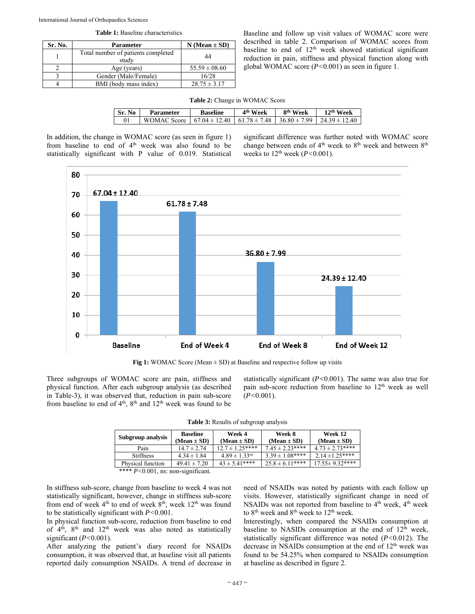|  |  | <b>Table 1:</b> Baseline characteristics |
|--|--|------------------------------------------|
|--|--|------------------------------------------|

| Sr. No. | <b>Parameter</b>                            | $N (Mean \pm SD)$ |
|---------|---------------------------------------------|-------------------|
|         | Total number of patients completed<br>study | 44                |
|         | Age (years)                                 | $55.59 \pm 08.60$ |
|         | Gender (Male/Female)                        | 16/28             |
|         | BMI (body mass index)                       | $28.75 \pm 3.17$  |

Baseline and follow up visit values of WOMAC score were described in table 2. Comparison of WOMAC scores from baseline to end of  $12<sup>th</sup>$  week showed statistical significant reduction in pain, stiffness and physical function along with global WOMAC score (*P<*0.001) as seen in figure 1.

**Table 2:** Change in WOMAC Score

| Sr. No | Parameter   | <b>Baseline</b>                                                             | 4 <sup>th</sup> Week | 8 <sup>th</sup> Week | 12 <sup>th</sup> Week |
|--------|-------------|-----------------------------------------------------------------------------|----------------------|----------------------|-----------------------|
|        | WOMAC Score | $67.04 \pm 12.40$   $61.78 \pm 7.48$   $36.80 \pm 7.99$   $24.39 \pm 12.40$ |                      |                      |                       |

In addition, the change in WOMAC score (as seen in figure 1) from baseline to end of 4<sup>th</sup> week was also found to be statistically significant with P value of 0.019. Statistical significant difference was further noted with WOMAC score change between ends of  $4<sup>th</sup>$  week to  $8<sup>th</sup>$  week and between  $8<sup>th</sup>$ weeks to 12th week (*P<*0.001).



**Fig 1:** WOMAC Score (Mean  $\pm$  SD) at Baseline and respective follow up visits

Three subgroups of WOMAC score are pain, stiffness and physical function. After each subgroup analysis (as described in Table-3), it was observed that, reduction in pain sub-score from baseline to end of  $4<sup>th</sup>$ ,  $8<sup>th</sup>$  and  $12<sup>th</sup>$  week was found to be

statistically significant (*P<*0.001). The same was also true for pain sub-score reduction from baseline to 12<sup>th</sup> week as well (*P<*0.001).

| Subgroup analysis                     | <b>Baseline</b><br>$(Mean \pm SD)$ | Week 4<br>$(Mean \pm SD)$     | Week 8<br>$(Mean \pm SD)$ | Week 12<br>$(Mean \pm SD)$ |
|---------------------------------------|------------------------------------|-------------------------------|---------------------------|----------------------------|
| Pain                                  | $14.7 \pm 2.74$                    | $12.7 \pm 1.25***$            | $7.45 \pm 2.23***$        | $4.73 \pm 2.73***$         |
| <b>Stiffness</b>                      | $4.34 \pm 1.84$                    | $4.89 \pm 1.33$ <sup>ns</sup> | $3.39 \pm 1.08$ ****      | $2.14 \pm 1.25***$         |
| Physical function                     | $49.41 \pm 7.20$                   | $43 \pm 5.41***$              | $25.8 \pm 6.11***$        | $17.55 \pm 9.32***$        |
| **** $P<0.001$ , ns: non-significant. |                                    |                               |                           |                            |

|  |  |  | Table 3: Results of subgroup analysis |  |  |
|--|--|--|---------------------------------------|--|--|
|--|--|--|---------------------------------------|--|--|

In stiffness sub-score, change from baseline to week 4 was not statistically significant, however, change in stiffness sub-score from end of week 4<sup>th</sup> to end of week 8<sup>th</sup>, week 12<sup>th</sup> was found to be statistically significant with *P<*0.001.

In physical function sub-score, reduction from baseline to end of  $4<sup>th</sup>$ ,  $8<sup>th</sup>$  and  $12<sup>th</sup>$  week was also noted as statistically significant (*P<*0.001).

After analyzing the patient's diary record for NSAIDs consumption, it was observed that, at baseline visit all patients reported daily consumption NSAIDs. A trend of decrease in need of NSAIDs was noted by patients with each follow up visits. However, statistically significant change in need of NSAIDs was not reported from baseline to  $4<sup>th</sup>$  week,  $4<sup>th</sup>$  week to  $8<sup>th</sup>$  week and  $8<sup>th</sup>$  week to  $12<sup>th</sup>$  week.

Interestingly, when compared the NSAIDs consumption at baseline to NASIDs consumption at the end of  $12<sup>th</sup>$  week, statistically significant difference was noted (*P<*0.012). The decrease in NSAIDs consumption at the end of 12<sup>th</sup> week was found to be 54.25% when compared to NSAIDs consumption at baseline as described in figure 2.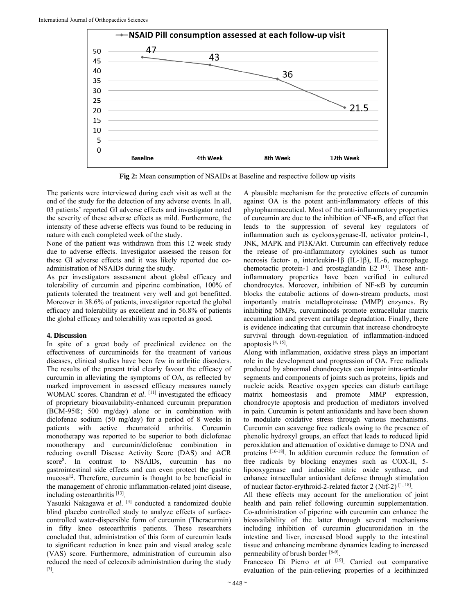

**Fig 2:** Mean consumption of NSAIDs at Baseline and respective follow up visits

The patients were interviewed during each visit as well at the end of the study for the detection of any adverse events. In all, 03 patients' reported GI adverse effects and investigator noted the severity of these adverse effects as mild. Furthermore, the intensity of these adverse effects was found to be reducing in nature with each completed week of the study.

None of the patient was withdrawn from this 12 week study due to adverse effects. Investigator assessed the reason for these GI adverse effects and it was likely reported due coadministration of NSAIDs during the study.

As per investigators assessment about global efficacy and tolerability of curcumin and piperine combination, 100% of patients tolerated the treatment very well and got benefitted. Moreover in 38.6% of patients, investigator reported the global efficacy and tolerability as excellent and in 56.8% of patients the global efficacy and tolerability was reported as good.

## **4. Discussion**

In spite of a great body of preclinical evidence on the effectiveness of curcuminoids for the treatment of various diseases, clinical studies have been few in arthritic disorders. The results of the present trial clearly favour the efficacy of curcumin in alleviating the symptoms of OA, as reflected by marked improvement in assessed efficacy measures namely WOMAC scores. Chandran *et al.* [11] investigated the efficacy of proprietary bioavailability-enhanced curcumin preparation (BCM-95®; 500 mg/day) alone or in combination with diclofenac sodium (50 mg/day) for a period of 8 weeks in patients with active rheumatoid arthritis. Curcumin monotherapy was reported to be superior to both diclofenac monotherapy and curcumin/diclofenac combination in reducing overall Disease Activity Score (DAS) and ACR score8 . In contrast to NSAIDs, curcumin has no gastrointestinal side effects and can even protect the gastric mucosa<sup>12</sup>. Therefore, curcumin is thought to be beneficial in the management of chronic inflammation-related joint disease, including osteoarthritis [13].

Yasuaki Nakagawa *et al*. [3] conducted a randomized double blind placebo controlled study to analyze effects of surfacecontrolled water-dispersible form of curcumin (Theracurmin) in fifty knee osteoarthritis patients. These researchers concluded that, administration of this form of curcumin leads to significant reduction in knee pain and visual analog scale (VAS) score. Furthermore, administration of curcumin also reduced the need of celecoxib administration during the study [3].

A plausible mechanism for the protective effects of curcumin against OA is the potent anti-inflammatory effects of this phytopharmaceutical. Most of the anti-inflammatory properties of curcumin are due to the inhibition of NF-κB, and effect that leads to the suppression of several key regulators of inflammation such as cyclooxygenase-II, activator protein-1, JNK, MAPK and PI3K/Akt. Curcumin can effectively reduce the release of pro-inflammatory cytokines such as tumor necrosis factor- α, interleukin-1β (IL-1β), IL-6, macrophage chemotactic protein-1 and prostaglandin E2<sup>[14]</sup>. These antiinflammatory properties have been verified in cultured chondrocytes. Moreover, inhibition of NF-κB by curcumin blocks the catabolic actions of down-stream products, most importantly matrix metalloproteinase (MMP) enzymes. By inhibiting MMPs, curcuminoids promote extracellular matrix accumulation and prevent cartilage degradation. Finally, there is evidence indicating that curcumin that increase chondrocyte survival through down-regulation of inflammation-induced apoptosis  $[4, 15]$ .

Along with inflammation, oxidative stress plays an important role in the development and progression of OA. Free radicals produced by abnormal chondrocytes can impair intra-articular segments and components of joints such as proteins, lipids and nucleic acids. Reactive oxygen species can disturb cartilage matrix homeostasis and promote MMP expression, chondrocyte apoptosis and production of mediators involved in pain. Curcumin is potent antioxidants and have been shown to modulate oxidative stress through various mechanisms. Curcumin can scavenge free radicals owing to the presence of phenolic hydroxyl groups, an effect that leads to reduced lipid peroxidation and attenuation of oxidative damage to DNA and proteins [16-18]. In addition curcumin reduce the formation of free radicals by blocking enzymes such as COX-II, 5 lipooxygenase and inducible nitric oxide synthase, and enhance intracellular antioxidant defense through stimulation of nuclear factor-erythroid-2-related factor 2 (Nrf-2)<sup>[1, 18]</sup>.

All these effects may account for the amelioration of joint health and pain relief following curcumin supplementation. Co-administration of piperine with curcumin can enhance the bioavailability of the latter through several mechanisms including inhibition of curcumin glucuronidation in the intestine and liver, increased blood supply to the intestinal tissue and enhancing membrane dynamics leading to increased permeability of brush border [6-9].

Francesco Di Pierro *et al* <sup>[19]</sup>. Carried out comparative evaluation of the pain-relieving properties of a lecithinized